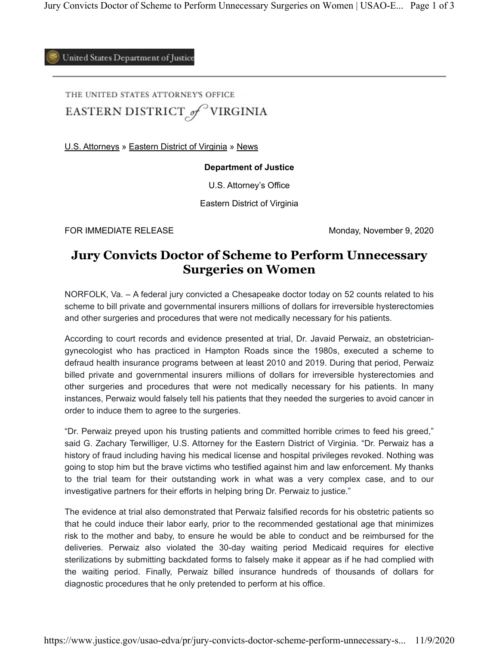United States Department of Justice

THE UNITED STATES ATTORNEY'S OFFICE EASTERN DISTRICT of VIRGINIA

U.S. Attorneys » Eastern District of Virginia » News

## **Department of Justice**

U.S. Attorney's Office

Eastern District of Virginia

FOR IMMEDIATE RELEASE Monday, November 9, 2020

## **Jury Convicts Doctor of Scheme to Perform Unnecessary Surgeries on Women**

NORFOLK, Va. – A federal jury convicted a Chesapeake doctor today on 52 counts related to his scheme to bill private and governmental insurers millions of dollars for irreversible hysterectomies and other surgeries and procedures that were not medically necessary for his patients.

According to court records and evidence presented at trial, Dr. Javaid Perwaiz, an obstetriciangynecologist who has practiced in Hampton Roads since the 1980s, executed a scheme to defraud health insurance programs between at least 2010 and 2019. During that period, Perwaiz billed private and governmental insurers millions of dollars for irreversible hysterectomies and other surgeries and procedures that were not medically necessary for his patients. In many instances, Perwaiz would falsely tell his patients that they needed the surgeries to avoid cancer in order to induce them to agree to the surgeries.

"Dr. Perwaiz preyed upon his trusting patients and committed horrible crimes to feed his greed," said G. Zachary Terwilliger, U.S. Attorney for the Eastern District of Virginia. "Dr. Perwaiz has a history of fraud including having his medical license and hospital privileges revoked. Nothing was going to stop him but the brave victims who testified against him and law enforcement. My thanks to the trial team for their outstanding work in what was a very complex case, and to our investigative partners for their efforts in helping bring Dr. Perwaiz to justice."

The evidence at trial also demonstrated that Perwaiz falsified records for his obstetric patients so that he could induce their labor early, prior to the recommended gestational age that minimizes risk to the mother and baby, to ensure he would be able to conduct and be reimbursed for the deliveries. Perwaiz also violated the 30-day waiting period Medicaid requires for elective sterilizations by submitting backdated forms to falsely make it appear as if he had complied with the waiting period. Finally, Perwaiz billed insurance hundreds of thousands of dollars for diagnostic procedures that he only pretended to perform at his office.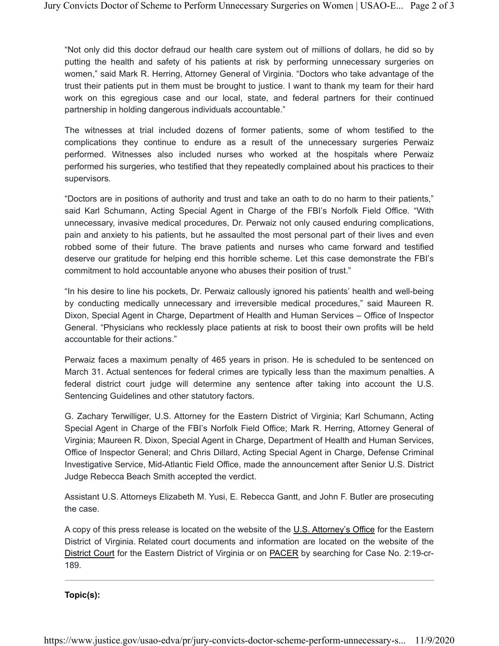"Not only did this doctor defraud our health care system out of millions of dollars, he did so by putting the health and safety of his patients at risk by performing unnecessary surgeries on women," said Mark R. Herring, Attorney General of Virginia. "Doctors who take advantage of the trust their patients put in them must be brought to justice. I want to thank my team for their hard work on this egregious case and our local, state, and federal partners for their continued partnership in holding dangerous individuals accountable."

The witnesses at trial included dozens of former patients, some of whom testified to the complications they continue to endure as a result of the unnecessary surgeries Perwaiz performed. Witnesses also included nurses who worked at the hospitals where Perwaiz performed his surgeries, who testified that they repeatedly complained about his practices to their supervisors.

"Doctors are in positions of authority and trust and take an oath to do no harm to their patients," said Karl Schumann, Acting Special Agent in Charge of the FBI's Norfolk Field Office. "With unnecessary, invasive medical procedures, Dr. Perwaiz not only caused enduring complications, pain and anxiety to his patients, but he assaulted the most personal part of their lives and even robbed some of their future. The brave patients and nurses who came forward and testified deserve our gratitude for helping end this horrible scheme. Let this case demonstrate the FBI's commitment to hold accountable anyone who abuses their position of trust."

"In his desire to line his pockets, Dr. Perwaiz callously ignored his patients' health and well-being by conducting medically unnecessary and irreversible medical procedures," said Maureen R. Dixon, Special Agent in Charge, Department of Health and Human Services – Office of Inspector General. "Physicians who recklessly place patients at risk to boost their own profits will be held accountable for their actions."

Perwaiz faces a maximum penalty of 465 years in prison. He is scheduled to be sentenced on March 31. Actual sentences for federal crimes are typically less than the maximum penalties. A federal district court judge will determine any sentence after taking into account the U.S. Sentencing Guidelines and other statutory factors.

G. Zachary Terwilliger, U.S. Attorney for the Eastern District of Virginia; Karl Schumann, Acting Special Agent in Charge of the FBI's Norfolk Field Office; Mark R. Herring, Attorney General of Virginia; Maureen R. Dixon, Special Agent in Charge, Department of Health and Human Services, Office of Inspector General; and Chris Dillard, Acting Special Agent in Charge, Defense Criminal Investigative Service, Mid-Atlantic Field Office, made the announcement after Senior U.S. District Judge Rebecca Beach Smith accepted the verdict.

Assistant U.S. Attorneys Elizabeth M. Yusi, E. Rebecca Gantt, and John F. Butler are prosecuting the case.

A copy of this press release is located on the website of the U.S. Attorney's Office for the Eastern District of Virginia. Related court documents and information are located on the website of the District Court for the Eastern District of Virginia or on PACER by searching for Case No. 2:19-cr-189.

**Topic(s):**